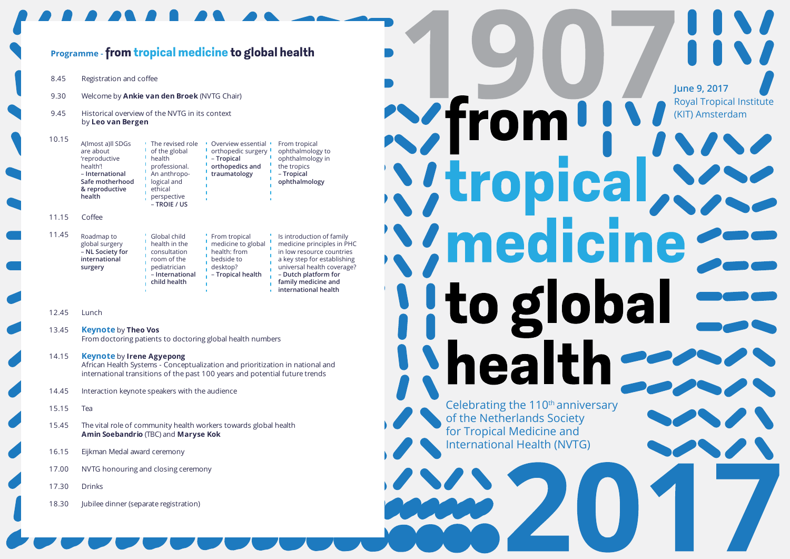#### 8.45 Registration and coffee 9.30 Welcome by **Ankie van den Broek** (NVTG Chair) 9.45 Historical overview of the NVTG in its context by **Leo van Bergen** 10.15 11.15 Coffee 11.45 12.45 Lunch 13.45 **Keynote** by **Theo Vos** From doctoring patients to doctoring global health numbers 14.15 **Keynote** by **Irene Agyepong** African Health Systems - Conceptualization and prioritization in national and international transitions of the past 100 years and potential future trends 14.45 Interaction keynote speakers with the audience 15.15 Tea 15.45 The vital role of community health workers towards global health **Amin Soebandrio** (TBC) and **Maryse Kok** 16.15 Eijkman Medal award ceremony 17.00 NVTG honouring and closing ceremony 17.30 Drinks 18.30 **Jubilee dinner (separate registration)** Roadmap to global surgery – **NL Society for international surgery**  Global child health in the consultation room of the pediatrician – **International child health**  From tropical medicine to global health: from bedside to desktop? – **Tropical health** Is introduction of family medicine principles in PHC in low resource countries a key step for establishing universal health coverage? – **Dutch platform for family medicine and international health**  A(lmost a)ll SDGs are about 'reproductive health'! – **International Safe motherhood & reproductive health** The revised role of the global health professional. An anthropological and ethical perspective – **TROIE / US** Overview essential orthopedic surgery – **Tropical orthopedics and traumatology**  From tropical ophthalmology to ophthalmology in the tropics – **Tropical ophthalmology Programme -from tropical medicine to global health**